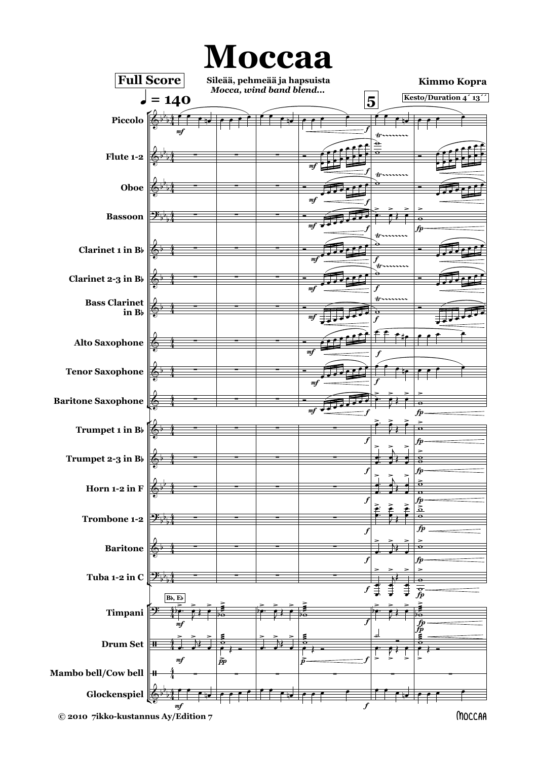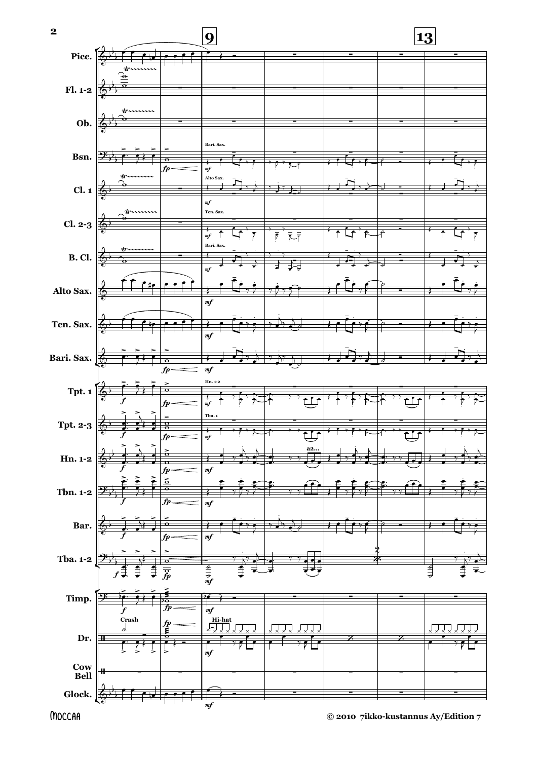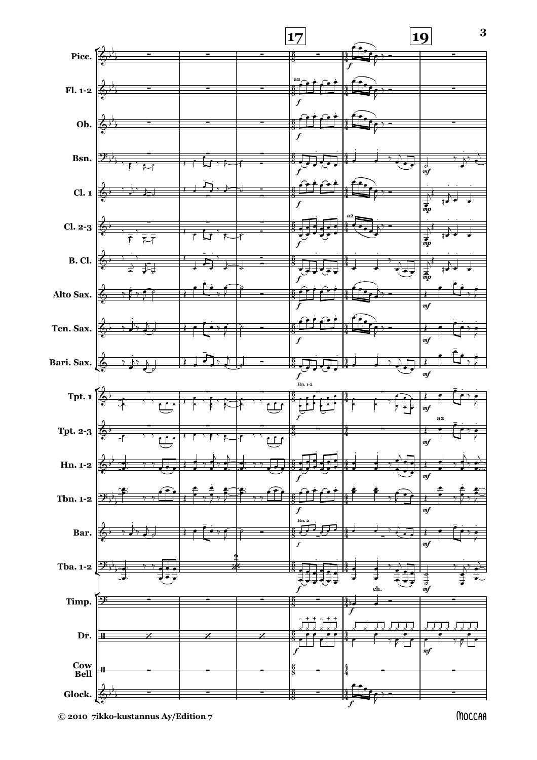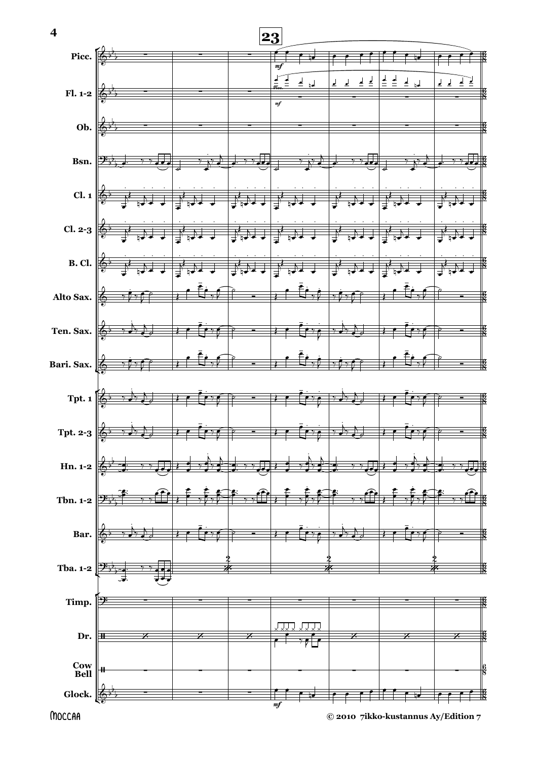

MOCCAA

© 2010 7ikko-kustannus Ay/Edition 7